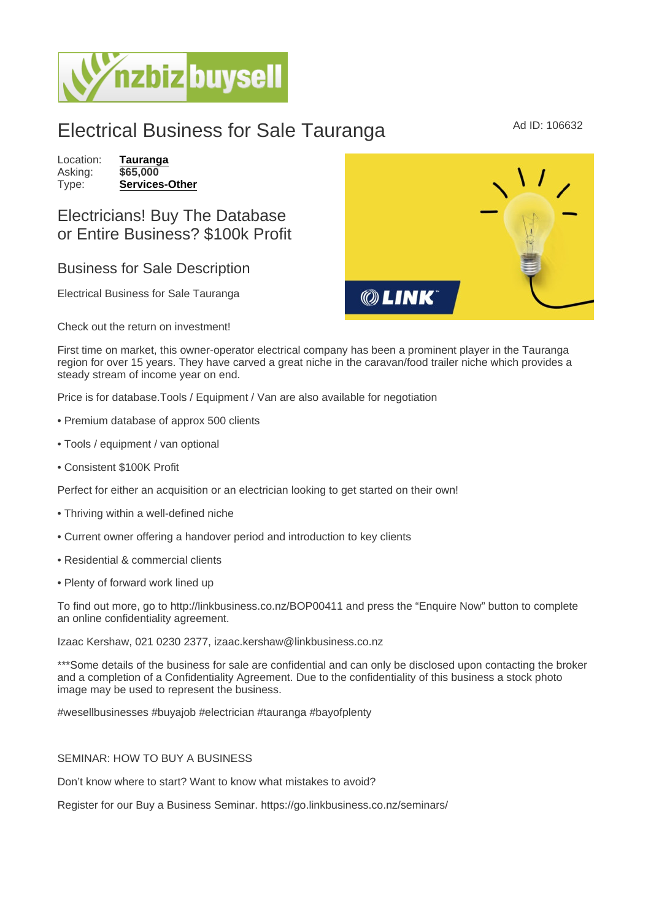## Electrical Business for Sale Tauranga MADID: 106632

Location: [Tauranga](https://www.nzbizbuysell.co.nz/businesses-for-sale/location/Tauranga) Asking: \$65,000<br>Type: Services [Services-Other](https://www.nzbizbuysell.co.nz/businesses-for-sale/Services/New-Zealand)

## Electricians! Buy The Database or Entire Business? \$100k Profit

## Business for Sale Description

Electrical Business for Sale Tauranga

Check out the return on investment!

First time on market, this owner-operator electrical company has been a prominent player in the Tauranga region for over 15 years. They have carved a great niche in the caravan/food trailer niche which provides a steady stream of income year on end.

Price is for database.Tools / Equipment / Van are also available for negotiation

- Premium database of approx 500 clients
- Tools / equipment / van optional
- Consistent \$100K Profit

Perfect for either an acquisition or an electrician looking to get started on their own!

- Thriving within a well-defined niche
- Current owner offering a handover period and introduction to key clients
- Residential & commercial clients
- Plenty of forward work lined up

To find out more, go to http://linkbusiness.co.nz/BOP00411 and press the "Enquire Now" button to complete an online confidentiality agreement.

Izaac Kershaw, 021 0230 2377, izaac.kershaw@linkbusiness.co.nz

\*\*\*Some details of the business for sale are confidential and can only be disclosed upon contacting the broker and a completion of a Confidentiality Agreement. Due to the confidentiality of this business a stock photo image may be used to represent the business.

#wesellbusinesses #buyajob #electrician #tauranga #bayofplenty

## SEMINAR: HOW TO BUY A BUSINESS

Don't know where to start? Want to know what mistakes to avoid?

Register for our Buy a Business Seminar. https://go.linkbusiness.co.nz/seminars/